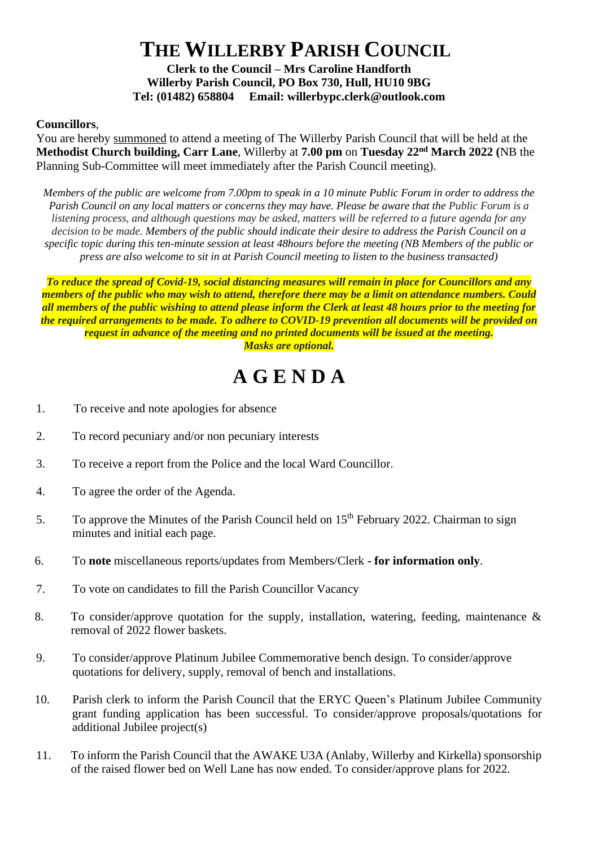# **THE WILLERBY PARISH COUNCIL**

#### **Clerk to the Council – Mrs Caroline Handforth Willerby Parish Council, PO Box 730, Hull, HU10 9BG Tel: (01482) 658804 Email: willerbypc.clerk@outlook.com**

#### **Councillors**,

You are hereby summoned to attend a meeting of The Willerby Parish Council that will be held at the **Methodist Church building, Carr Lane**, Willerby at **7.00 pm** on **Tuesday 22nd March 2022 (**NB the Planning Sub-Committee will meet immediately after the Parish Council meeting).

*Members of the public are welcome from 7.00pm to speak in a 10 minute Public Forum in order to address the Parish Council on any local matters or concerns they may have. Please be aware that the Public Forum is a listening process, and although questions may be asked, matters will be referred to a future agenda for any decision to be made. Members of the public should indicate their desire to address the Parish Council on a specific topic during this ten-minute session at least 48hours before the meeting (NB Members of the public or press are also welcome to sit in at Parish Council meeting to listen to the business transacted)* 

*To reduce the spread of Covid-19, social distancing measures will remain in place for Councillors and any members of the public who may wish to attend, therefore there may be a limit on attendance numbers. Could all members of the public wishing to attend please inform the Clerk at least 48 hours prior to the meeting for the required arrangements to be made. To adhere to COVID-19 prevention all documents will be provided on request in advance of the meeting and no printed documents will be issued at the meeting. Masks are optional.*

# **A G E N D A**

- 1. To receive and note apologies for absence
- 2. To record pecuniary and/or non pecuniary interests
- 3. To receive a report from the Police and the local Ward Councillor.
- 4. To agree the order of the Agenda.
- 5. To approve the Minutes of the Parish Council held on  $15<sup>th</sup>$  February 2022. Chairman to sign minutes and initial each page.
- 6. To **note** miscellaneous reports/updates from Members/Clerk **- for information only**.
- 7. To vote on candidates to fill the Parish Councillor Vacancy
- 8. To consider/approve quotation for the supply, installation, watering, feeding, maintenance & removal of 2022 flower baskets.
- 9. To consider/approve Platinum Jubilee Commemorative bench design. To consider/approve quotations for delivery, supply, removal of bench and installations.
- 10. Parish clerk to inform the Parish Council that the ERYC Queen's Platinum Jubilee Community grant funding application has been successful. To consider/approve proposals/quotations for additional Jubilee project(s)
- 11. To inform the Parish Council that the AWAKE U3A (Anlaby, Willerby and Kirkella) sponsorship of the raised flower bed on Well Lane has now ended. To consider/approve plans for 2022.